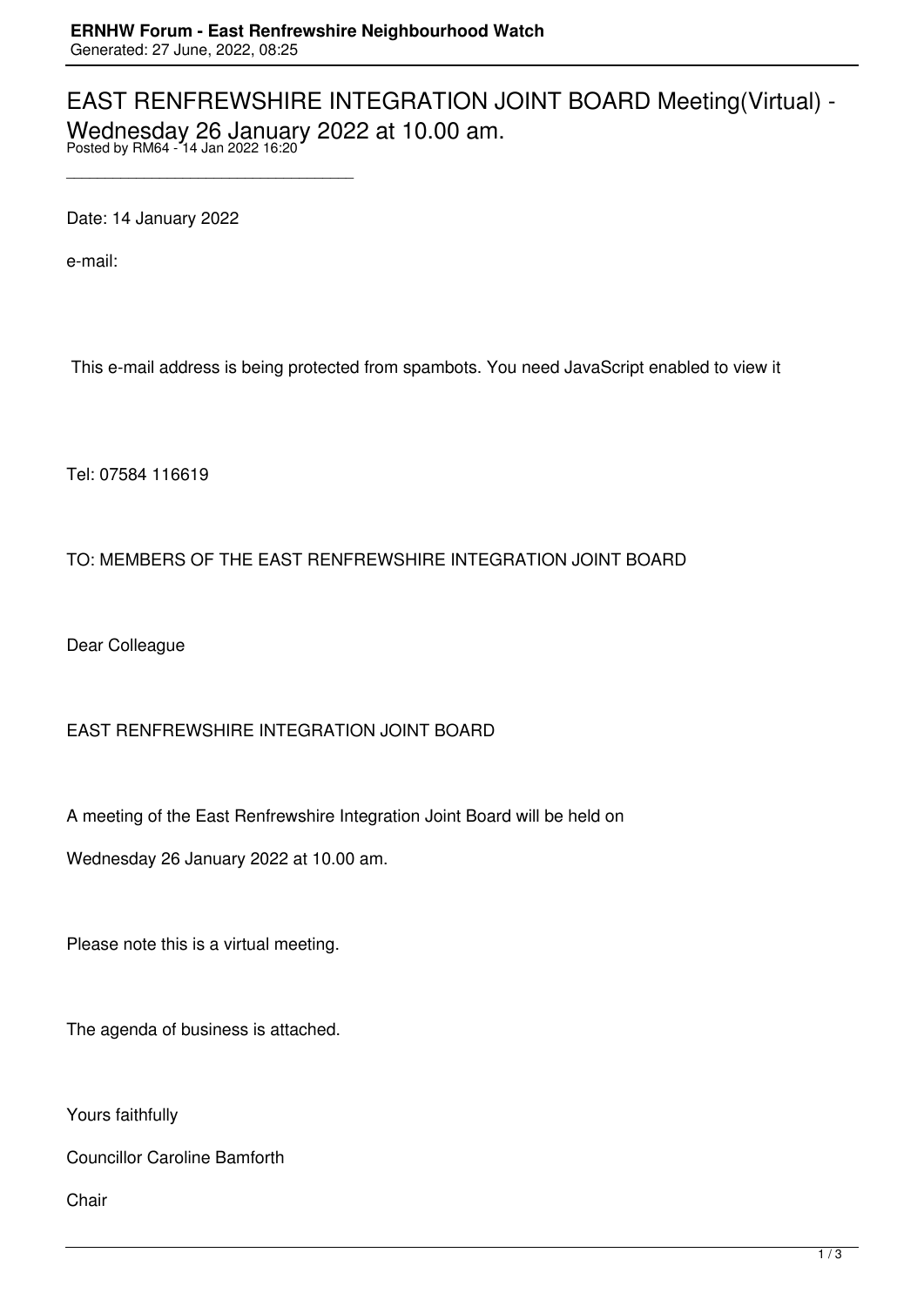## EAST RENFREWSHIRE INTEGRATION JOINT BOARD Meeting(Virtual) - Wednesday 26 January 2022 at 10.00 am. Posted by RM64 - 14 Jan 2022 16:20

Date: 14 January 2022

\_\_\_\_\_\_\_\_\_\_\_\_\_\_\_\_\_\_\_\_\_\_\_\_\_\_\_\_\_\_\_\_\_\_\_\_\_

e-mail:

This e-mail address is being protected from spambots. You need JavaScript enabled to view it

Tel: 07584 116619

## TO: MEMBERS OF THE EAST RENFREWSHIRE INTEGRATION JOINT BOARD

Dear Colleague

## EAST RENFREWSHIRE INTEGRATION JOINT BOARD

A meeting of the East Renfrewshire Integration Joint Board will be held on

Wednesday 26 January 2022 at 10.00 am.

Please note this is a virtual meeting.

The agenda of business is attached.

Yours faithfully

Councillor Caroline Bamforth

Chair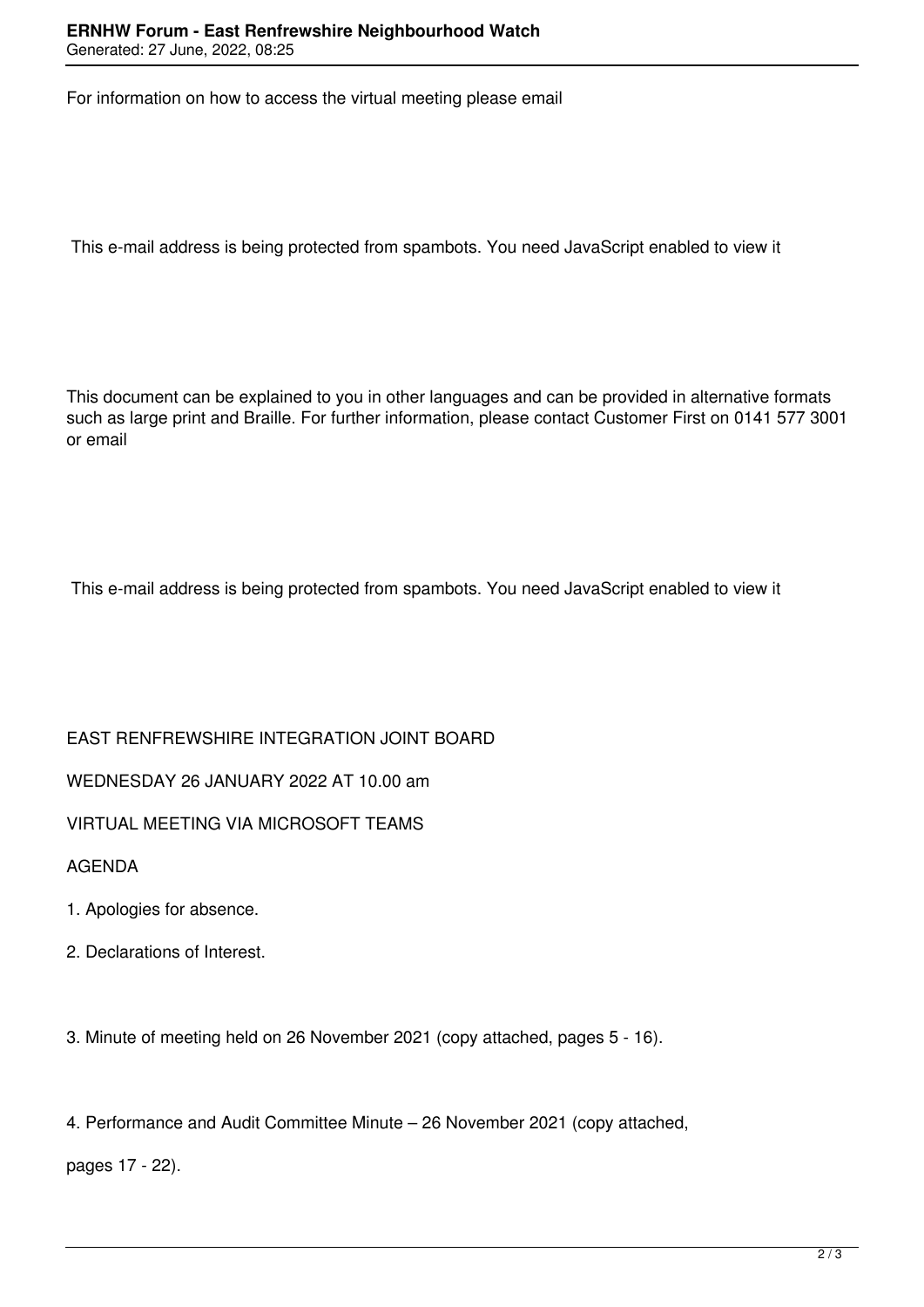For information on how to access the virtual meeting please email

This e-mail address is being protected from spambots. You need JavaScript enabled to view it

This document can be explained to you in other languages and can be provided in alternative formats such as large print and Braille. For further information, please contact Customer First on 0141 577 3001 or email

This e-mail address is being protected from spambots. You need JavaScript enabled to view it

EAST RENFREWSHIRE INTEGRATION JOINT BOARD

WEDNESDAY 26 JANUARY 2022 AT 10.00 am

VIRTUAL MEETING VIA MICROSOFT TEAMS

AGENDA

- 1. Apologies for absence.
- 2. Declarations of Interest.

3. Minute of meeting held on 26 November 2021 (copy attached, pages 5 - 16).

4. Performance and Audit Committee Minute – 26 November 2021 (copy attached,

pages 17 - 22).